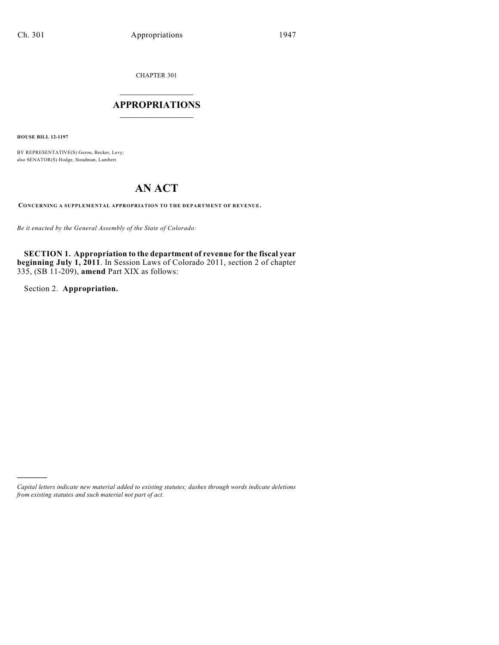CHAPTER 301

# $\mathcal{L}_\text{max}$  . The set of the set of the set of the set of the set of the set of the set of the set of the set of the set of the set of the set of the set of the set of the set of the set of the set of the set of the set **APPROPRIATIONS**  $\_$   $\_$   $\_$   $\_$   $\_$   $\_$   $\_$   $\_$

**HOUSE BILL 12-1197**

BY REPRESENTATIVE(S) Gerou, Becker, Levy; also SENATOR(S) Hodge, Steadman, Lambert.

# **AN ACT**

**CONCERNING A SUPPLEMENTAL APPROPRIATION TO THE DEPARTMENT OF REVENUE.**

*Be it enacted by the General Assembly of the State of Colorado:*

**SECTION 1. Appropriation to the department of revenue for the fiscal year beginning July 1, 2011**. In Session Laws of Colorado 2011, section 2 of chapter 335, (SB 11-209), **amend** Part XIX as follows:

Section 2. **Appropriation.**

)))))

*Capital letters indicate new material added to existing statutes; dashes through words indicate deletions from existing statutes and such material not part of act.*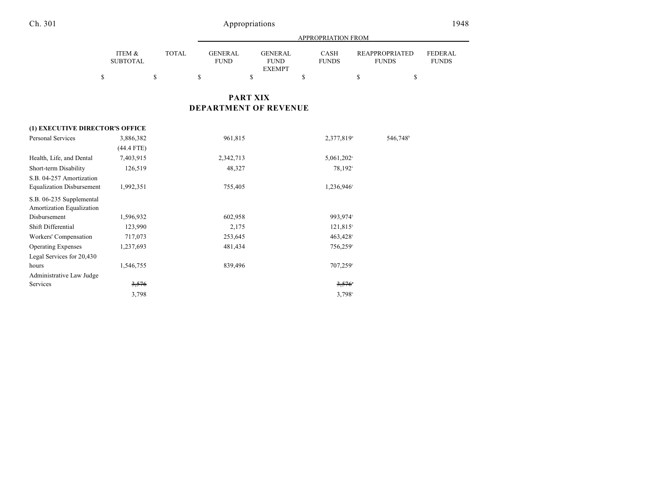|                           |              | APPROPRIATION FROM             |                                                |                             |                                |                                |  |  |
|---------------------------|--------------|--------------------------------|------------------------------------------------|-----------------------------|--------------------------------|--------------------------------|--|--|
| ITEM &<br><b>SUBTOTAL</b> | <b>TOTAL</b> | <b>GENER AL</b><br><b>FUND</b> | <b>GENERAL</b><br><b>FUND</b><br><b>EXEMPT</b> | <b>CASH</b><br><b>FUNDS</b> | REAPPROPRIATED<br><b>FUNDS</b> | <b>FEDERAL</b><br><b>FUNDS</b> |  |  |
|                           |              |                                |                                                |                             |                                |                                |  |  |

# **PART XIX DEPARTMENT OF REVENUE**

|                                  | (1) EXECUTIVE DIRECTOR'S OFFICE |           |                        |                      |  |  |  |  |
|----------------------------------|---------------------------------|-----------|------------------------|----------------------|--|--|--|--|
| <b>Personal Services</b>         | 3,886,382                       | 961,815   | 2,377,819 <sup>a</sup> | 546,748 <sup>b</sup> |  |  |  |  |
|                                  | (44.4 FTE)                      |           |                        |                      |  |  |  |  |
| Health, Life, and Dental         | 7,403,915                       | 2,342,713 | $5,061,202$ °          |                      |  |  |  |  |
| Short-term Disability            | 126,519                         | 48,327    | $78,192^{\circ}$       |                      |  |  |  |  |
| S.B. 04-257 Amortization         |                                 |           |                        |                      |  |  |  |  |
| <b>Equalization Disbursement</b> | 1,992,351                       | 755,405   | 1,236,946°             |                      |  |  |  |  |
| S.B. 06-235 Supplemental         |                                 |           |                        |                      |  |  |  |  |
| Amortization Equalization        |                                 |           |                        |                      |  |  |  |  |
| Disbursement                     | 1,596,932                       | 602,958   | 993,974°               |                      |  |  |  |  |
| Shift Differential               | 123,990                         | 2,175     | $121,815^{\circ}$      |                      |  |  |  |  |
| Workers' Compensation            | 717,073                         | 253,645   | $463,428^\circ$        |                      |  |  |  |  |
| <b>Operating Expenses</b>        | 1,237,693                       | 481,434   | 756,259°               |                      |  |  |  |  |
| Legal Services for 20,430        |                                 |           |                        |                      |  |  |  |  |
| hours                            | 1,546,755                       | 839,496   | $707,259^{\circ}$      |                      |  |  |  |  |
| Administrative Law Judge         |                                 |           |                        |                      |  |  |  |  |
| Services                         | 3,576                           |           | 3,576                  |                      |  |  |  |  |
|                                  | 3,798                           |           | $3,798^{\circ}$        |                      |  |  |  |  |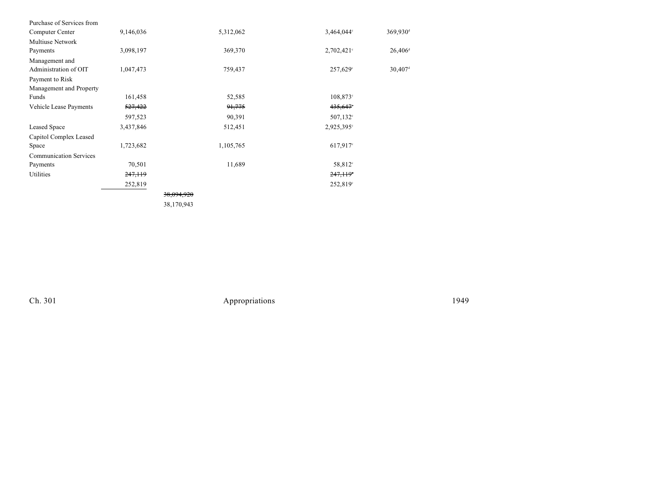| Purchase of Services from     |           |                       |                   |                        |
|-------------------------------|-----------|-----------------------|-------------------|------------------------|
| Computer Center               | 9,146,036 | 5,312,062             | 3,464,044°        | $369,930$ <sup>d</sup> |
| <b>Multiuse Network</b>       |           |                       |                   |                        |
| Payments                      | 3,098,197 | 369,370               | $2,702,421$ °     | $26,406$ <sup>d</sup>  |
| Management and                |           |                       |                   |                        |
| Administration of OIT         | 1,047,473 | 759,437               | 257,629°          | $30,407$ <sup>d</sup>  |
| Payment to Risk               |           |                       |                   |                        |
| Management and Property       |           |                       |                   |                        |
| Funds                         | 161,458   | 52,585                | $108,873^{\circ}$ |                        |
| Vehicle Lease Payments        | 527,422   | 91,775                | 435,647°          |                        |
|                               | 597,523   | 90,391                | $507,132^{\circ}$ |                        |
| Leased Space                  | 3,437,846 | 512,451               | 2,925,395°        |                        |
| Capitol Complex Leased        |           |                       |                   |                        |
| Space                         | 1,723,682 | 1,105,765             | $617,917$ °       |                        |
| <b>Communication Services</b> |           |                       |                   |                        |
| Payments                      | 70,501    | 11,689                | 58,812°           |                        |
| Utilities                     | 247,119   |                       | 247,119           |                        |
|                               | 252,819   |                       | 252,819°          |                        |
|                               |           | <del>38.094.920</del> |                   |                        |

38,170,943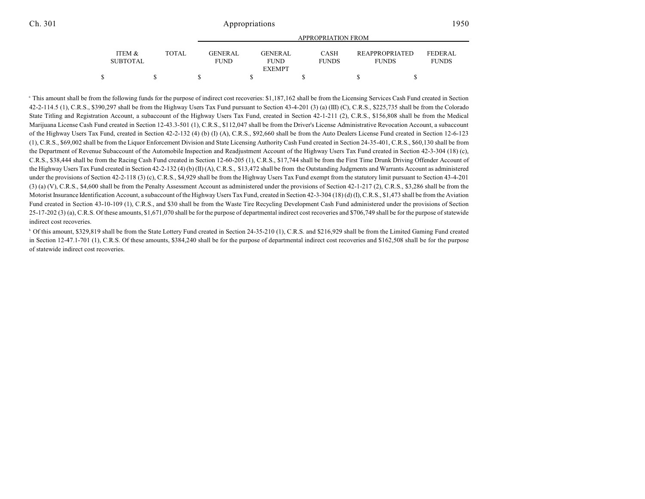|                           |       | <b>APPROPRIATION FROM</b>     |  |                                                 |  |                      |  |                                       |                          |
|---------------------------|-------|-------------------------------|--|-------------------------------------------------|--|----------------------|--|---------------------------------------|--------------------------|
| ITEM &<br><b>SUBTOTAL</b> | TOTAL | <b>GENERAL</b><br><b>FUND</b> |  | <b>GENER AL</b><br><b>FUND</b><br><b>EXEMPT</b> |  | CASH<br><b>FUNDS</b> |  | <b>REAPPROPRIATED</b><br><b>FUNDS</b> | FEDER AL<br><b>FUNDS</b> |
|                           |       |                               |  |                                                 |  |                      |  |                                       |                          |
|                           |       |                               |  |                                                 |  |                      |  |                                       |                          |

<sup>a</sup> This amount shall be from the following funds for the purpose of indirect cost recoveries: \$1,187,162 shall be from the Licensing Services Cash Fund created in Section  $42-2-114.5$  (1), C.R.S., \$390,297 shall be from the Highway Users Tax Fund pursuant to Section 43-4-201 (3) (a) (III) (C), C.R.S., \$225,735 shall be from the Colorado State Titling and Registration Account, a subaccount of the Highway Users Tax Fund, created in Section 42-1-211 (2), C.R.S., \$156,808 shall be from the Medical Marijuana License Cash Fund created in Section 12-43.3-501 (1), C.R.S., \$112,047 shall be from the Driver's License Administrative Revocation Account, a subaccount of the Highway Users Tax Fund, created in Section 42-2-132 (4) (b) (I) (A), C.R.S., \$92,660 shall be from the Auto Dealers License Fund created in Section 12-6-123 (1), C.R.S., \$69,002 shall be from the Liquor Enforcement Division and State Licensing Authority Cash Fund created in Section 24-35-401, C.R.S., \$60,130 shall be from the Department of Revenue Subaccount of the Automobile Inspection and Readjustment Account of the Highway Users Tax Fund created in Section 42-3-304 (18) (c), C.R.S., \$38,444 shall be from the Racing Cash Fund created in Section 12-60-205 (1), C.R.S., \$17,744 shall be from the First Time Drunk Driving Offender Account of the Highway Users Tax Fund created in Section 42-2-132 (4) (b) (II) (A), C.R.S., \$13,472 shall be from the Outstanding Judgments and Warrants Account as administered under the provisions of Section 42-2-118 (3) (c), C.R.S., \$4,929 shall be from the Highway Users Tax Fund exempt from the statutory limit pursuant to Section 43-4-201 (3) (a) (V), C.R.S., \$4,600 shall be from the Penalty Assessment Account as administered under the provisions of Section 42-1-217 (2), C.R.S., \$3,286 shall be from the Motorist Insurance Identification Account, a subaccount of the Highway Users Tax Fund, created in Section 42-3-304 (18) (d) (I), C.R.S., \$1,473 shall be from the Aviation Fund created in Section 43-10-109 (1), C.R.S., and \$30 shall be from the Waste Tire Recycling Development Cash Fund administered under the provisions of Section 25-17-202 (3) (a), C.R.S. Of these amounts, \$1,671,070 shall be for the purpose of departmental indirect cost recoveries and \$706,749 shall be for the purpose of statewide indirect cost recoveries.

<sup>b</sup> Of this amount, \$329,819 shall be from the State Lottery Fund created in Section 24-35-210 (1), C.R.S. and \$216,929 shall be from the Limited Gaming Fund created in Section 12-47.1-701 (1), C.R.S. Of these amounts, \$384,240 shall be for the purpose of departmental indirect cost recoveries and \$162,508 shall be for the purpose of statewide indirect cost recoveries.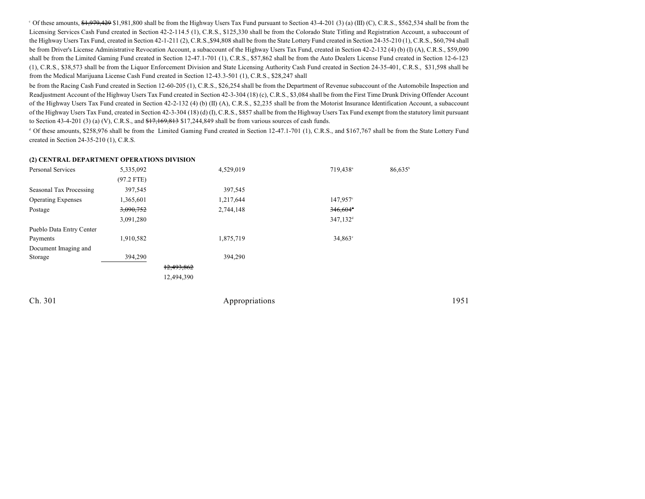$\degree$  Of these amounts,  $\frac{1}{2}$ ,  $\frac{1}{2}$ ,  $\frac{9}{2}$ ,  $\frac{1}{2}$ ,  $\frac{1}{2}$ ,  $\frac{1}{2}$ ,  $\frac{1}{2}$ ,  $\frac{1}{2}$ ,  $\frac{1}{2}$  (b)  $\frac{1}{2}$  find be from the Highway Users Tax Fund pursuant to Section 43-4-201 (3) (a) (III) (C) Licensing Services Cash Fund created in Section 42-2-114.5 (1), C.R.S., \$125,330 shall be from the Colorado State Titling and Registration Account, a subaccount of the Highway Users Tax Fund, created in Section 42-1-211 (2), C.R.S.,\$94,808 shall be from the State Lottery Fund created in Section 24-35-210 (1), C.R.S., \$60,794 shall be from Driver's License Administrative Revocation Account, a subaccount of the Highway Users Tax Fund, created in Section 42-2-132 (4) (b) (I) (A), C.R.S., \$59,090 shall be from the Limited Gaming Fund created in Section 12-47.1-701 (1), C.R.S., \$57,862 shall be from the Auto Dealers License Fund created in Section 12-6-123 (1), C.R.S., \$38,573 shall be from the Liquor Enforcement Division and State Licensing Authority Cash Fund created in Section 24-35-401, C.R.S., \$31,598 shall be from the Medical Marijuana License Cash Fund created in Section 12-43.3-501 (1), C.R.S., \$28,247 shall

be from the Racing Cash Fund created in Section 12-60-205 (1), C.R.S., \$26,254 shall be from the Department of Revenue subaccount of the Automobile Inspection and Readjustment Account of the Highway Users Tax Fund created in Section 42-3-304 (18) (c), C.R.S., \$3,084 shall be from the First Time Drunk Driving Offender Account of the Highway Users Tax Fund created in Section 42-2-132 (4) (b) (II) (A), C.R.S., \$2,235 shall be from the Motorist Insurance Identification Account, a subaccount of the Highway Users Tax Fund, created in Section 42-3-304 (18) (d) (I), C.R.S., \$857 shall be from the Highway Users Tax Fund exempt from the statutory limit pursuant to Section 43-4-201 (3) (a) (V), C.R.S., and  $\frac{17,169,813}{17,244,849}$  shall be from various sources of cash funds.

<sup>d</sup> Of these amounts, \$258,976 shall be from the Limited Gaming Fund created in Section 12-47.1-701 (1), C.R.S., and \$167,767 shall be from the State Lottery Fund created in Section 24-35-210 (1), C.R.S.

#### **(2) CENTRAL DEPARTMENT OPERATIONS DIVISION**

| <b>Personal Services</b>  | 5,335,092    | 4,529,019  | 719,438 <sup>a</sup>   | 86,635 <sup>b</sup> |
|---------------------------|--------------|------------|------------------------|---------------------|
|                           | $(97.2$ FTE) |            |                        |                     |
| Seasonal Tax Processing   | 397,545      | 397,545    |                        |                     |
| <b>Operating Expenses</b> | 1,365,601    | 1,217,644  | 147,957°               |                     |
| Postage                   | 3,090,752    | 2,744,148  | $346,604$ <sup>t</sup> |                     |
|                           | 3,091,280    |            | 347,132 <sup>d</sup>   |                     |
| Pueblo Data Entry Center  |              |            |                        |                     |
| Payments                  | 1,910,582    | 1,875,719  | $34.863^{\circ}$       |                     |
| Document Imaging and      |              |            |                        |                     |
| Storage                   | 394,290      | 394,290    |                        |                     |
|                           |              | 12,493,862 |                        |                     |
|                           |              | 12,494,390 |                        |                     |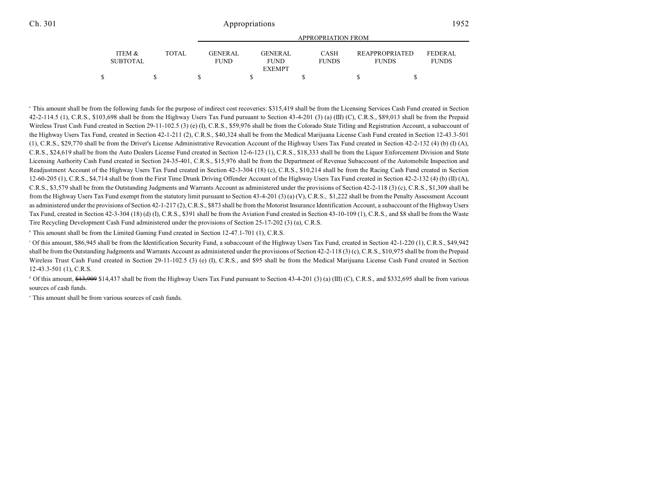|                           |       | APPROPRIATION FROM             |  |                        |  |                             |  |                                       |                                |  |
|---------------------------|-------|--------------------------------|--|------------------------|--|-----------------------------|--|---------------------------------------|--------------------------------|--|
| ITEM &<br><b>SUBTOTAL</b> | TOTAL | <b>GENER AL</b><br><b>FUND</b> |  | GENERAL<br><b>FUND</b> |  | <b>CASH</b><br><b>FUNDS</b> |  | <b>REAPPROPRIATED</b><br><b>FUNDS</b> | <b>FEDERAL</b><br><b>FUNDS</b> |  |
|                           |       |                                |  | <b>EXEMPT</b>          |  |                             |  |                                       |                                |  |
|                           |       |                                |  |                        |  |                             |  |                                       |                                |  |

<sup>a</sup> This amount shall be from the following funds for the purpose of indirect cost recoveries: \$315,419 shall be from the Licensing Services Cash Fund created in Section 42-2-114.5 (1), C.R.S., \$103,698 shall be from the Highway Users Tax Fund pursuant to Section 43-4-201 (3) (a) (III) (C), C.R.S., \$89,013 shall be from the Prepaid Wireless Trust Cash Fund created in Section 29-11-102.5 (3) (e) (I), C.R.S., \$59,976 shall be from the Colorado State Titling and Registration Account, a subaccount of the Highway Users Tax Fund, created in Section 42-1-211 (2), C.R.S., \$40,324 shall be from the Medical Marijuana License Cash Fund created in Section 12-43.3-501 (1), C.R.S., \$29,770 shall be from the Driver's License Administrative Revocation Account of the Highway Users Tax Fund created in Section 42-2-132 (4) (b) (I) (A), C.R.S., \$24,619 shall be from the Auto Dealers License Fund created in Section 12-6-123 (1), C.R.S., \$18,333 shall be from the Liquor Enforcement Division and State Licensing Authority Cash Fund created in Section 24-35-401, C.R.S., \$15,976 shall be from the Department of Revenue Subaccount of the Automobile Inspection and Readjustment Account of the Highway Users Tax Fund created in Section 42-3-304 (18) (c), C.R.S., \$10,214 shall be from the Racing Cash Fund created in Section 12-60-205 (1), C.R.S., \$4,714 shall be from the First Time Drunk Driving Offender Account of the Highway Users Tax Fund created in Section 42-2-132 (4) (b) (II) (A), C.R.S., \$3,579 shall be from the Outstanding Judgments and Warrants Account as administered under the provisions of Section 42-2-118 (3) (c), C.R.S., \$1,309 shall be from the Highway Users Tax Fund exempt from the statutory limit pursuant to Section 43-4-201 (3) (a) (V), C.R.S., \$1,222 shall be from the Penalty Assessment Account as administered under the provisions of Section 42-1-217 (2), C.R.S., \$873 shall be from the Motorist Insurance Identification Account, a subaccount of the Highway Users Tax Fund, created in Section 42-3-304 (18) (d) (I), C.R.S., \$391 shall be from the Aviation Fund created in Section 43-10-109 (1), C.R.S., and \$8 shall be from the Waste Tire Recycling Development Cash Fund administered under the provisions of Section 25-17-202 (3) (a), C.R.S.

 $\,^{\circ}$  This amount shall be from the Limited Gaming Fund created in Section 12-47.1-701 (1), C.R.S.

 $\degree$  Of this amount, \$86,945 shall be from the Identification Security Fund, a subaccount of the Highway Users Tax Fund, created in Section 42-1-220 (1), C.R.S., \$49,942 shall be from the Outstanding Judgments and Warrants Account as administered under the provisions of Section 42-2-118 (3) (c), C.R.S., \$10,975 shall be from the Prepaid Wireless Trust Cash Fund created in Section 29-11-102.5 (3) (e) (I), C.R.S., and \$95 shall be from the Medical Marijuana License Cash Fund created in Section 12-43.3-501 (1), C.R.S.

<sup>d</sup> Of this amount,  $\frac{13,909}{14,437}$  shall be from the Highway Users Tax Fund pursuant to Section 43-4-201 (3) (a) (III) (C), C.R.S., and \$332,695 shall be from various sources of cash funds.

 $\degree$  This amount shall be from various sources of cash funds.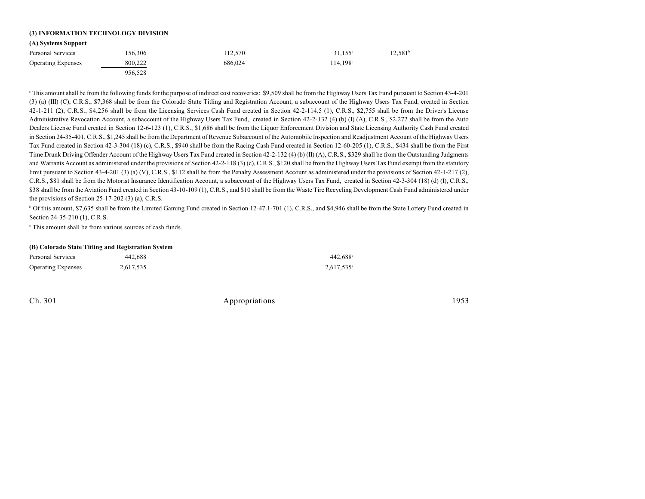## **(3) INFORMATION TECHNOLOGY DIVISION**

#### **(A) Systems Support**

| .                         |         |         |                  |                  |
|---------------------------|---------|---------|------------------|------------------|
| Personal Services         | 156.306 | 112.570 | $31.155^{\circ}$ | $12,581^{\circ}$ |
| <b>Operating Expenses</b> | 800.222 | 686,024 | 114,198°         |                  |
|                           | 956.528 |         |                  |                  |

<sup>a</sup> This amount shall be from the following funds for the purpose of indirect cost recoveries: \$9,509 shall be from the Highway Users Tax Fund pursuant to Section 43-4-201 (3) (a) (III) (C), C.R.S., \$7,368 shall be from the Colorado State Titling and Registration Account, a subaccount of the Highway Users Tax Fund, created in Section 42-1-211 (2), C.R.S., \$4,256 shall be from the Licensing Services Cash Fund created in Section 42-2-114.5 (1), C.R.S., \$2,755 shall be from the Driver's License Administrative Revocation Account, a subaccount of the Highway Users Tax Fund, created in Section 42-2-132 (4) (b) (I) (A), C.R.S., \$2,272 shall be from the Auto Dealers License Fund created in Section 12-6-123 (1), C.R.S., \$1,686 shall be from the Liquor Enforcement Division and State Licensing Authority Cash Fund created in Section 24-35-401, C.R.S., \$1,245 shall be from the Department of Revenue Subaccount of the Automobile Inspection and Readjustment Account of the Highway Users Tax Fund created in Section 42-3-304 (18) (c), C.R.S., \$940 shall be from the Racing Cash Fund created in Section 12-60-205 (1), C.R.S., \$434 shall be from the First Time Drunk Driving Offender Account of the Highway Users Tax Fund created in Section 42-2-132 (4) (b) (II) (A), C.R.S., \$329 shall be from the Outstanding Judgments and Warrants Account as administered under the provisions of Section 42-2-118 (3) (c), C.R.S., \$120 shall be from the Highway Users Tax Fund exempt from the statutory limit pursuant to Section 43-4-201 (3) (a) (V), C.R.S., \$112 shall be from the Penalty Assessment Account as administered under the provisions of Section 42-1-217 (2), C.R.S., \$81 shall be from the Motorist Insurance Identification Account, a subaccount of the Highway Users Tax Fund, created in Section 42-3-304 (18) (d) (I), C.R.S., \$38 shall be from the Aviation Fund created in Section 43-10-109 (1), C.R.S., and \$10 shall be from the Waste Tire Recycling Development Cash Fund administered under the provisions of Section 25-17-202 (3) (a), C.R.S.

<sup>b</sup> Of this amount, \$7,635 shall be from the Limited Gaming Fund created in Section 12-47.1-701 (1), C.R.S., and \$4,946 shall be from the State Lottery Fund created in Section 24-35-210 (1), C.R.S.

 $\degree$  This amount shall be from various sources of cash funds.

#### **(B) Colorado State Titling and Registration System**

| Personal Services         | 442.688   | $442.688$ <sup>a</sup> |
|---------------------------|-----------|------------------------|
| <b>Operating Expenses</b> | 2,617,535 | $2,617,535^{\circ}$    |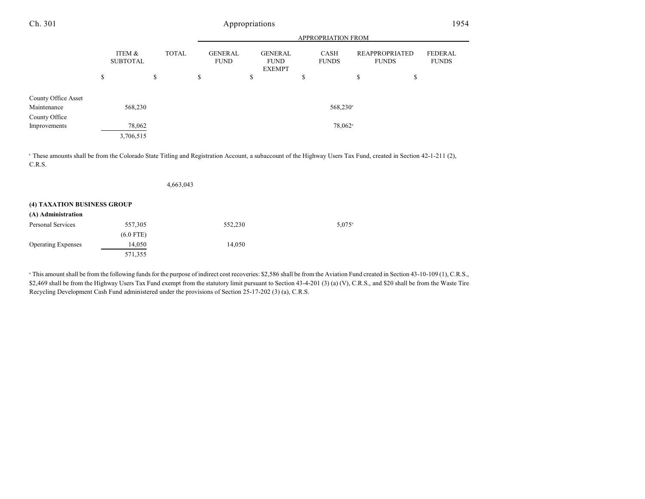|                                    |                           | <b>APPROPRIATION FROM</b> |              |                               |                                                |                             |                                       |                                |
|------------------------------------|---------------------------|---------------------------|--------------|-------------------------------|------------------------------------------------|-----------------------------|---------------------------------------|--------------------------------|
|                                    | ITEM &<br><b>SUBTOTAL</b> |                           | <b>TOTAL</b> | <b>GENERAL</b><br><b>FUND</b> | <b>GENERAL</b><br><b>FUND</b><br><b>EXEMPT</b> | <b>CASH</b><br><b>FUNDS</b> | <b>REAPPROPRIATED</b><br><b>FUNDS</b> | <b>FEDERAL</b><br><b>FUNDS</b> |
|                                    | \$                        | \$                        | \$           |                               | \$                                             | \$                          | \$                                    | \$                             |
| County Office Asset<br>Maintenance |                           | 568,230                   |              |                               |                                                | 568,230 <sup>a</sup>        |                                       |                                |
| County Office                      |                           |                           |              |                               |                                                |                             |                                       |                                |
| Improvements                       |                           | 78,062                    |              |                               |                                                | 78,062 <sup>a</sup>         |                                       |                                |
|                                    | 3,706,515                 |                           |              |                               |                                                |                             |                                       |                                |

<sup>a</sup> These amounts shall be from the Colorado State Titling and Registration Account, a subaccount of the Highway Users Tax Fund, created in Section 42-1-211 (2), C.R.S.

|                             |             | 4,663,043 |                 |
|-----------------------------|-------------|-----------|-----------------|
| (4) TAXATION BUSINESS GROUP |             |           |                 |
| (A) Administration          |             |           |                 |
| <b>Personal Services</b>    | 557,305     | 552,230   | $5.075^{\circ}$ |
|                             | $(6.0$ FTE) |           |                 |
| <b>Operating Expenses</b>   | 14,050      | 14,050    |                 |
|                             | 571,355     |           |                 |

<sup>a</sup> This amount shall be from the following funds for the purpose of indirect cost recoveries: \$2,586 shall be from the Aviation Fund created in Section 43-10-109 (1), C.R.S., \$2,469 shall be from the Highway Users Tax Fund exempt from the statutory limit pursuant to Section 43-4-201 (3) (a) (V), C.R.S., and \$20 shall be from the Waste Tire Recycling Development Cash Fund administered under the provisions of Section 25-17-202 (3) (a), C.R.S.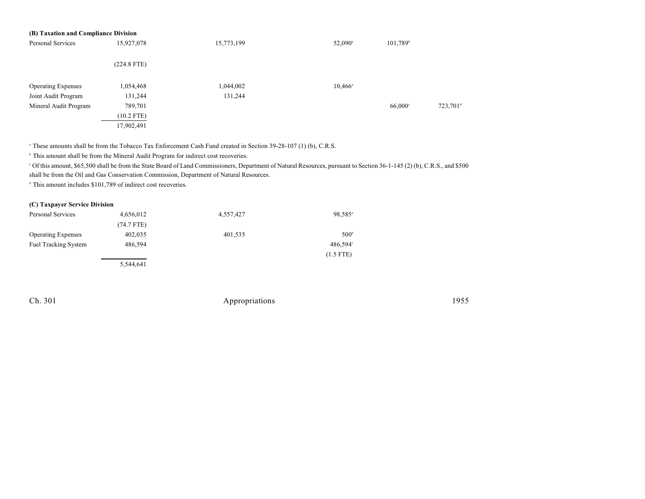| (B) Taxation and Compliance Division |               |            |                  |                      |                      |  |  |  |  |
|--------------------------------------|---------------|------------|------------------|----------------------|----------------------|--|--|--|--|
| Personal Services                    | 15,927,078    | 15,773,199 | $52,090^{\circ}$ | 101,789 <sup>b</sup> |                      |  |  |  |  |
|                                      | $(224.8$ FTE) |            |                  |                      |                      |  |  |  |  |
| <b>Operating Expenses</b>            | 1,054,468     | 1,044,002  | $10,466^{\circ}$ |                      |                      |  |  |  |  |
| Joint Audit Program                  | 131,244       | 131,244    |                  |                      |                      |  |  |  |  |
| Mineral Audit Program                | 789,701       |            |                  | 66,000°              | 723,701 <sup>d</sup> |  |  |  |  |
|                                      | $(10.2$ FTE)  |            |                  |                      |                      |  |  |  |  |
|                                      | 17,902,491    |            |                  |                      |                      |  |  |  |  |

<sup>a</sup> These amounts shall be from the Tobacco Tax Enforcement Cash Fund created in Section 39-28-107 (1) (b), C.R.S.

 $\,^{\circ}$  This amount shall be from the Mineral Audit Program for indirect cost recoveries.

Of this amount, \$65,500 shall be from the State Board of Land Commissioners, Department of Natural Resources, pursuant to Section 36-1-145 (2) (b), C.R.S., and \$500 <sup>c</sup> shall be from the Oil and Gas Conservation Commission, Department of Natural Resources.

 $d$  This amount includes \$101,789 of indirect cost recoveries.

### **(C) Taxpayer Service Division**

| Personal Services           | 4,656,012    | 4,557,427 | 98,585 <sup>a</sup> |
|-----------------------------|--------------|-----------|---------------------|
|                             | $(74.7$ FTE) |           |                     |
| <b>Operating Expenses</b>   | 402,035      | 401,535   | 500 <sup>b</sup>    |
| <b>Fuel Tracking System</b> | 486.594      |           | $486,594^{\circ}$   |
|                             |              |           | $(1.5$ FTE)         |
|                             | 5,544,641    |           |                     |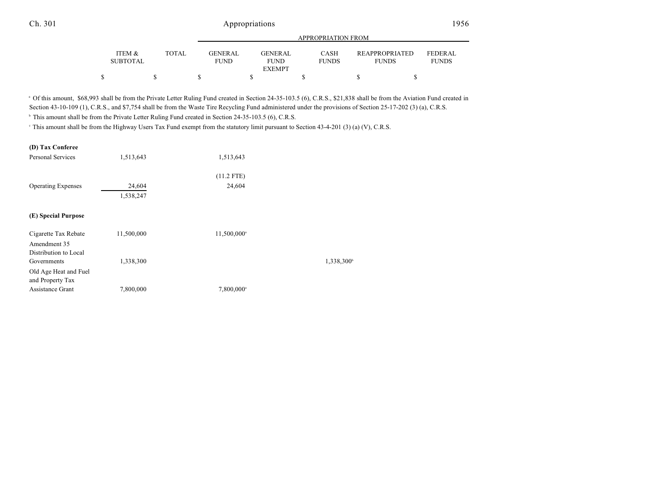|                           |              |                               | APPROPRIATION FROM     |                      |                                       |                                |  |  |  |  |  |  |
|---------------------------|--------------|-------------------------------|------------------------|----------------------|---------------------------------------|--------------------------------|--|--|--|--|--|--|
| ITEM &<br><b>SUBTOTAL</b> | <b>TOTAL</b> | <b>GENERAL</b><br><b>FUND</b> | GENERAL<br><b>FUND</b> | CASH<br><b>FUNDS</b> | <b>REAPPROPRIATED</b><br><b>FUNDS</b> | <b>FEDERAL</b><br><b>FUNDS</b> |  |  |  |  |  |  |
|                           |              |                               | <b>EXEMPT</b>          |                      |                                       |                                |  |  |  |  |  |  |
|                           |              |                               |                        |                      |                                       |                                |  |  |  |  |  |  |

<sup>a</sup> Of this amount, \$68,993 shall be from the Private Letter Ruling Fund created in Section 24-35-103.5 (6), C.R.S., \$21,838 shall be from the Aviation Fund created in Section 43-10-109 (1), C.R.S., and \$7,754 shall be from the Waste Tire Recycling Fund administered under the provisions of Section 25-17-202 (3) (a), C.R.S.

<sup>b</sup> This amount shall be from the Private Letter Ruling Fund created in Section 24-35-103.5 (6), C.R.S.

<sup>c</sup> This amount shall be from the Highway Users Tax Fund exempt from the statutory limit pursuant to Section 43-4-201 (3) (a) (V), C.R.S.

#### **(D) Tax Conferee**

| <b>Personal Services</b>                  | 1,513,643  | 1,513,643               |                     |
|-------------------------------------------|------------|-------------------------|---------------------|
|                                           |            | $(11.2$ FTE)            |                     |
| <b>Operating Expenses</b>                 | 24,604     | 24,604                  |                     |
|                                           | 1,538,247  |                         |                     |
| (E) Special Purpose                       |            |                         |                     |
| Cigarette Tax Rebate<br>Amendment 35      | 11,500,000 | 11,500,000 <sup>a</sup> |                     |
| Distribution to Local                     |            |                         |                     |
| Governments                               | 1,338,300  |                         | $1,338,300^{\circ}$ |
| Old Age Heat and Fuel<br>and Property Tax |            |                         |                     |
| Assistance Grant                          | 7,800,000  | 7,800,000 <sup>a</sup>  |                     |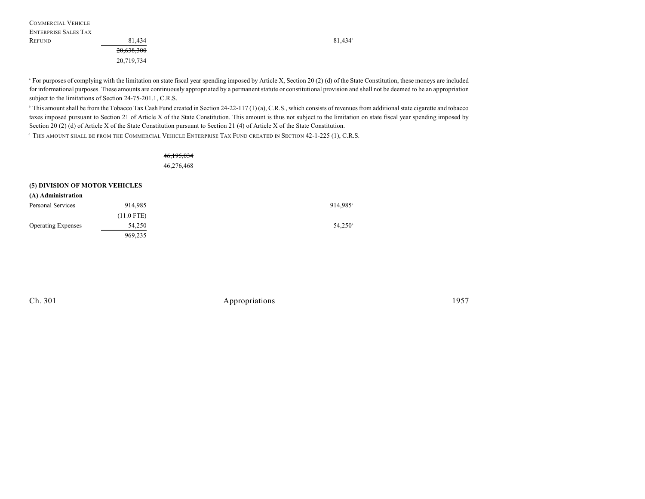| <b>COMMERCIAL VEHICLE</b>   |            |
|-----------------------------|------------|
| <b>ENTERPRISE SALES TAX</b> |            |
| REFUND                      | 81.434     |
|                             | 20,638,300 |
|                             | 20,719,734 |

<sup>a</sup> For purposes of complying with the limitation on state fiscal year spending imposed by Article X, Section 20 (2) (d) of the State Constitution, these moneys are included for informational purposes. These amounts are continuously appropriated by a permanent statute or constitutional provision and shall not be deemed to be an appropriation subject to the limitations of Section 24-75-201.1, C.R.S.

<sup>b</sup> This amount shall be from the Tobacco Tax Cash Fund created in Section 24-22-117 (1) (a), C.R.S., which consists of revenues from additional state cigarette and tobacco taxes imposed pursuant to Section 21 of Article X of the State Constitution. This amount is thus not subject to the limitation on state fiscal year spending imposed by Section 20 (2) (d) of Article X of the State Constitution pursuant to Section 21 (4) of Article X of the State Constitution.

THIS AMOUNT SHALL BE FROM THE COMMERCIAL VEHICLE ENTERPRISE TAX FUND CREATED IN SECTION 42-1-225 (1), C.R.S. <sup>c</sup>

46,195,034 46,276,468

### **(5) DIVISION OF MOTOR VEHICLES**

| (A) Administration        |              |                      |
|---------------------------|--------------|----------------------|
| Personal Services         | 914.985      | 914.985 <sup>a</sup> |
|                           | $(11.0$ FTE) |                      |
| <b>Operating Expenses</b> | 54.250       | $54,250^{\circ}$     |
|                           | 969,235      |                      |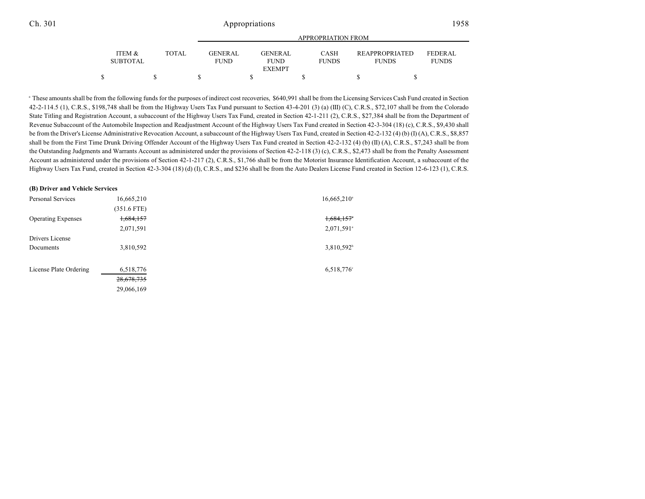| ITEM &<br><b>SUBTOTAL</b> | TOTAL | <b>GENERAL</b><br><b>FUND</b> | GENERAL<br><b>FUND</b> | <b>CASH</b><br><b>FUNDS</b> |  | <b>REAPPROPRIATED</b><br><b>FUNDS</b> | FEDERAL<br><b>FUNDS</b> |  |
|---------------------------|-------|-------------------------------|------------------------|-----------------------------|--|---------------------------------------|-------------------------|--|
|                           |       |                               | <b>EXEMPT</b>          |                             |  |                                       |                         |  |
|                           |       |                               |                        |                             |  |                                       |                         |  |

<sup>a</sup> These amounts shall be from the following funds for the purposes of indirect cost recoveries, \$640,991 shall be from the Licensing Services Cash Fund created in Section 42-2-114.5 (1), C.R.S., \$198,748 shall be from the Highway Users Tax Fund pursuant to Section 43-4-201 (3) (a) (III) (C), C.R.S., \$72,107 shall be from the Colorado State Titling and Registration Account, a subaccount of the Highway Users Tax Fund, created in Section 42-1-211 (2), C.R.S., \$27,384 shall be from the Department of Revenue Subaccount of the Automobile Inspection and Readjustment Account of the Highway Users Tax Fund created in Section 42-3-304 (18) (c), C.R.S., \$9,430 shall be from the Driver's License Administrative Revocation Account, a subaccount of the Highway Users Tax Fund, created in Section 42-2-132 (4) (b) (I) (A), C.R.S., \$8,857 shall be from the First Time Drunk Driving Offender Account of the Highway Users Tax Fund created in Section 42-2-132 (4) (b) (II) (A), C.R.S., \$7,243 shall be from the Outstanding Judgments and Warrants Account as administered under the provisions of Section 42-2-118 (3) (c), C.R.S., \$2,473 shall be from the Penalty Assessment Account as administered under the provisions of Section 42-1-217 (2), C.R.S., \$1,766 shall be from the Motorist Insurance Identification Account, a subaccount of the Highway Users Tax Fund, created in Section 42-3-304 (18) (d) (I), C.R.S., and \$236 shall be from the Auto Dealers License Fund created in Section 12-6-123 (1), C.R.S.

### **(B) Driver and Vehicle Services**

| Personal Services         | 16,665,210    | $16,665,210^{\circ}$     |
|---------------------------|---------------|--------------------------|
|                           | $(351.6$ FTE) |                          |
| <b>Operating Expenses</b> | 1,684,157     | $1,684,157$ <sup>*</sup> |
|                           | 2,071,591     | $2,071,591$ <sup>a</sup> |
| Drivers License           |               |                          |
| Documents                 | 3,810,592     | 3,810,592 <sup>b</sup>   |
|                           |               |                          |
| License Plate Ordering    | 6,518,776     | 6,518,776°               |
|                           | 28,678,735    |                          |
|                           | 29,066,169    |                          |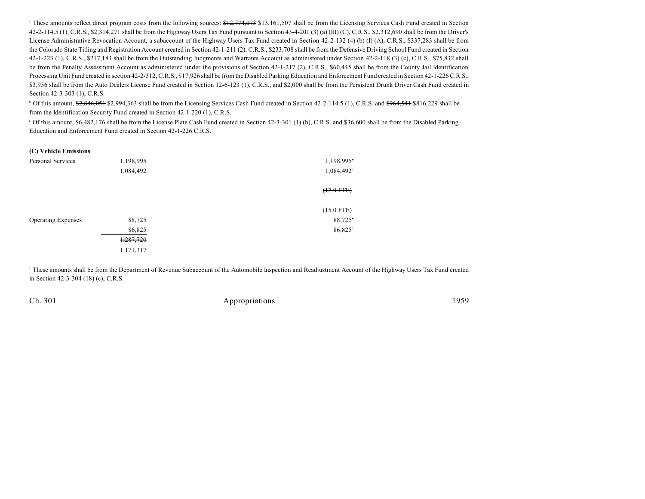<sup>a</sup> These amounts reflect direct program costs from the following sources: \$12,774,073 \$13,161,507 shall be from the Licensing Services Cash Fund created in Section 42-2-114.5 (1), C.R.S., \$2,314,271 shall be from the Highway Users Tax Fund pursuant to Section 43-4-201 (3) (a) (III) (C), C.R.S., \$2,312,690 shall be from the Driver's License Administrative Revocation Account, a subaccount of the Highway Users Tax Fund created in Section 42-2-132 (4) (b) (I) (A), C.R.S., \$337,283 shall be from the Colorado State Titling and Registration Account created in Section 42-1-211 (2), C.R.S., \$233,708 shall be from the Defensive Driving School Fund created in Section 42-1-223 (1), C.R.S., \$217,183 shall be from the Outstanding Judgments and Warrants Account as administered under Section 42-2-118 (3) (c), C.R.S., \$75,832 shall be from the Penalty Assessment Account as administered under the provisions of Section 42-1-217 (2), C.R.S., \$60,445 shall be from the County Jail Identification Processing Unit Fund created in section 42-2-312, C.R.S., \$17,926 shall be from the Disabled Parking Education and Enforcement Fund created in Section 42-1-226 C.R.S., \$3,956 shall be from the Auto Dealers License Fund created in Section 12-6-123 (1), C.R.S., and \$2,000 shall be from the Persistent Drunk Driver Cash Fund created in Section 42-3-303 (1), C.R.S.

 $\degree$  Of this amount, \$2,846,051 \$2,994,363 shall be from the Licensing Services Cash Fund created in Section 42-2-114.5 (1), C.R.S. and \$964,541 \$816,229 shall be from the Identification Security Fund created in Section 42-1-220 (1), C.R.S.

 $\degree$  Of this amount, \$6,482,176 shall be from the License Plate Cash Fund created in Section 42-3-301 (1) (b), C.R.S. and \$36,600 shall be from the Disabled Parking Education and Enforcement Fund created in Section 42-1-226 C.R.S.

#### **(C) Vehicle Emissions**

| <b>Personal Services</b>  | 1,198,995 | 1,198,995 <sup>*</sup> |
|---------------------------|-----------|------------------------|
|                           | 1,084,492 | 1,084,492 <sup>a</sup> |
|                           |           | $(17.0$ FTE)           |
|                           |           | $(15.0$ FTE)           |
| <b>Operating Expenses</b> | 88,725    | $88,725$ <sup>*</sup>  |
|                           | 86,825    | 86,825 <sup>a</sup>    |
|                           | 1,287,720 |                        |
|                           | 1,171,317 |                        |

 These amounts shall be from the Department of Revenue Subaccount of the Automobile Inspection and Readjustment Account of the Highway Users Tax Fund created <sup>a</sup> in Section 42-3-304 (18) (c), C.R.S.

| Appropriations | 1959 |
|----------------|------|
|                |      |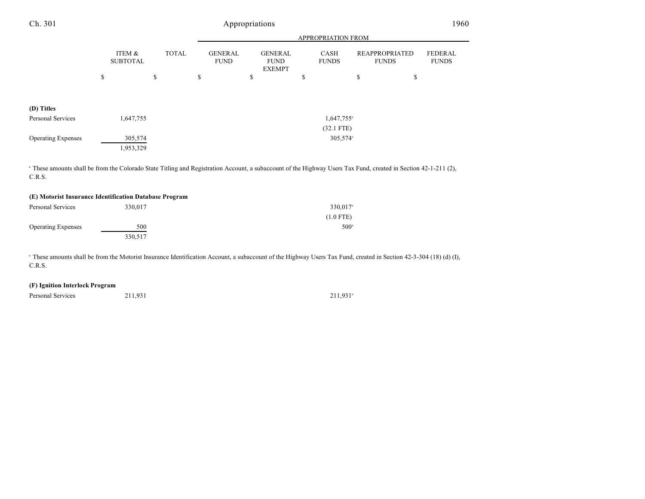| Ch. 301                                                                                                                                                                              | Appropriations            |    |              |    |                               |                    |                                                |    |                          |    |                                       | 1960                    |  |
|--------------------------------------------------------------------------------------------------------------------------------------------------------------------------------------|---------------------------|----|--------------|----|-------------------------------|--------------------|------------------------------------------------|----|--------------------------|----|---------------------------------------|-------------------------|--|
|                                                                                                                                                                                      |                           |    |              |    |                               | APPROPRIATION FROM |                                                |    |                          |    |                                       |                         |  |
|                                                                                                                                                                                      | ITEM &<br><b>SUBTOTAL</b> |    | <b>TOTAL</b> |    | <b>GENERAL</b><br><b>FUND</b> |                    | <b>GENERAL</b><br><b>FUND</b><br><b>EXEMPT</b> |    | CASH<br><b>FUNDS</b>     |    | <b>REAPPROPRIATED</b><br><b>FUNDS</b> | FEDERAL<br><b>FUNDS</b> |  |
|                                                                                                                                                                                      | \$                        | \$ |              | \$ |                               | \$                 |                                                | \$ |                          | \$ | \$                                    |                         |  |
| (D) Titles                                                                                                                                                                           |                           |    |              |    |                               |                    |                                                |    |                          |    |                                       |                         |  |
| Personal Services                                                                                                                                                                    | 1,647,755                 |    |              |    |                               |                    |                                                |    | $1,647,755$ <sup>a</sup> |    |                                       |                         |  |
|                                                                                                                                                                                      |                           |    |              |    |                               |                    |                                                |    | $(32.1$ FTE)             |    |                                       |                         |  |
| <b>Operating Expenses</b>                                                                                                                                                            | 305,574<br>1,953,329      |    |              |    |                               |                    |                                                |    | $305,574$ <sup>a</sup>   |    |                                       |                         |  |
| <sup>a</sup> These amounts shall be from the Colorado State Titling and Registration Account, a subaccount of the Highway Users Tax Fund, created in Section 42-1-211 (2),<br>C.R.S. |                           |    |              |    |                               |                    |                                                |    |                          |    |                                       |                         |  |

| (E) Motorist Insurance Identification Database Program |         |                        |  |  |  |  |  |
|--------------------------------------------------------|---------|------------------------|--|--|--|--|--|
| Personal Services                                      | 330.017 | $330,017$ <sup>a</sup> |  |  |  |  |  |
|                                                        |         | $(1.0$ FTE)            |  |  |  |  |  |
| <b>Operating Expenses</b>                              | 500     | $500^{\circ}$          |  |  |  |  |  |
|                                                        | 330.517 |                        |  |  |  |  |  |

<sup>a</sup> These amounts shall be from the Motorist Insurance Identification Account, a subaccount of the Highway Users Tax Fund, created in Section 42-3-304 (18) (d) (I), C.R.S.

### **(F) Ignition Interlock Program**

Personal Services 211,931 211,931

 $211,931$ <sup>a</sup>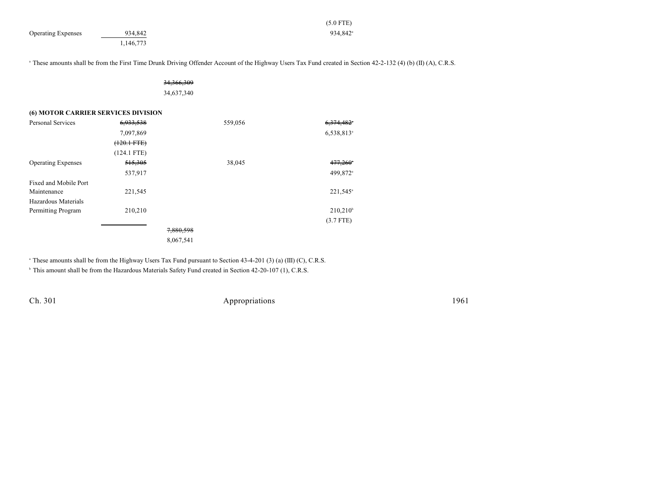|                                     |                  |              | $(5.0$ FTE)                                                                                                                                                               |  |
|-------------------------------------|------------------|--------------|---------------------------------------------------------------------------------------------------------------------------------------------------------------------------|--|
| <b>Operating Expenses</b>           | 934,842          |              | 934,842 <sup>a</sup>                                                                                                                                                      |  |
|                                     | 1,146,773        |              |                                                                                                                                                                           |  |
|                                     |                  |              |                                                                                                                                                                           |  |
|                                     |                  |              | <sup>a</sup> These amounts shall be from the First Time Drunk Driving Offender Account of the Highway Users Tax Fund created in Section 42-2-132 (4) (b) (II) (A), C.R.S. |  |
|                                     |                  |              |                                                                                                                                                                           |  |
|                                     |                  | 34, 366, 309 |                                                                                                                                                                           |  |
|                                     |                  | 34,637,340   |                                                                                                                                                                           |  |
|                                     |                  |              |                                                                                                                                                                           |  |
| (6) MOTOR CARRIER SERVICES DIVISION |                  |              |                                                                                                                                                                           |  |
| Personal Services                   | 6,933,538        | 559,056      | 6,374,482*                                                                                                                                                                |  |
|                                     | 7,097,869        |              | 6,538,813 <sup>a</sup>                                                                                                                                                    |  |
|                                     | $(120.1$ FTE $)$ |              |                                                                                                                                                                           |  |
|                                     | $(124.1$ FTE)    |              |                                                                                                                                                                           |  |
| <b>Operating Expenses</b>           | 515,305          | 38,045       | $477,260$ <sup>*</sup>                                                                                                                                                    |  |
|                                     | 537,917          |              | 499,872 <sup>a</sup>                                                                                                                                                      |  |
| Fixed and Mobile Port               |                  |              |                                                                                                                                                                           |  |
| Maintenance                         | 221,545          |              | $221,545$ <sup>a</sup>                                                                                                                                                    |  |
| Hazardous Materials                 |                  |              |                                                                                                                                                                           |  |
| Permitting Program                  | 210,210          |              | $210,210^{\circ}$                                                                                                                                                         |  |
|                                     |                  |              | $(3.7$ FTE)                                                                                                                                                               |  |
|                                     |                  | 7,880,598    |                                                                                                                                                                           |  |
|                                     |                  | 8,067,541    |                                                                                                                                                                           |  |

<sup>a</sup> These amounts shall be from the Highway Users Tax Fund pursuant to Section 43-4-201 (3) (a) (III) (C), C.R.S.

<sup>b</sup> This amount shall be from the Hazardous Materials Safety Fund created in Section 42-20-107 (1), C.R.S.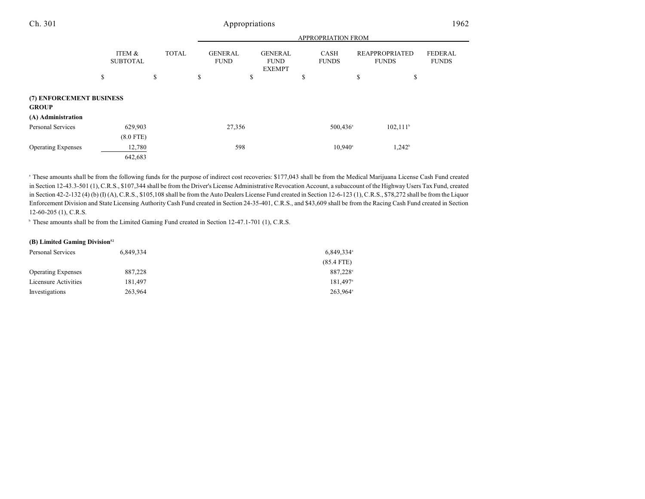|                                          |                           |              | <b>APPROPRIATION FROM</b> |                               |    |                                                |    |                             |    |                                       |                                |
|------------------------------------------|---------------------------|--------------|---------------------------|-------------------------------|----|------------------------------------------------|----|-----------------------------|----|---------------------------------------|--------------------------------|
|                                          | ITEM &<br><b>SUBTOTAL</b> | <b>TOTAL</b> |                           | <b>GENERAL</b><br><b>FUND</b> |    | <b>GENERAL</b><br><b>FUND</b><br><b>EXEMPT</b> |    | <b>CASH</b><br><b>FUNDS</b> |    | <b>REAPPROPRIATED</b><br><b>FUNDS</b> | <b>FEDERAL</b><br><b>FUNDS</b> |
|                                          | \$                        | \$           | \$                        |                               | \$ |                                                | \$ |                             | \$ | \$                                    |                                |
| (7) ENFORCEMENT BUSINESS<br><b>GROUP</b> |                           |              |                           |                               |    |                                                |    |                             |    |                                       |                                |
| (A) Administration                       |                           |              |                           |                               |    |                                                |    |                             |    |                                       |                                |
| <b>Personal Services</b>                 | 629,903                   |              |                           | 27,356                        |    |                                                |    | $500,436$ <sup>a</sup>      |    | $102,111$ <sup>b</sup>                |                                |
|                                          | $(8.0$ FTE)               |              |                           |                               |    |                                                |    |                             |    |                                       |                                |
| <b>Operating Expenses</b>                | 12,780                    |              |                           | 598                           |    |                                                |    | $10,940^{\circ}$            |    | $1,242^b$                             |                                |
|                                          | 642,683                   |              |                           |                               |    |                                                |    |                             |    |                                       |                                |

<sup>a</sup> These amounts shall be from the following funds for the purpose of indirect cost recoveries: \$177,043 shall be from the Medical Marijuana License Cash Fund created in Section 12-43.3-501 (1), C.R.S., \$107,344 shall be from the Driver's License Administrative Revocation Account, a subaccount of the Highway Users Tax Fund, created in Section 42-2-132 (4) (b) (I) (A), C.R.S., \$105,108 shall be from the Auto Dealers License Fund created in Section 12-6-123 (1), C.R.S., \$78,272 shall be from the Liquor Enforcement Division and State Licensing Authority Cash Fund created in Section 24-35-401, C.R.S., and \$43,609 shall be from the Racing Cash Fund created in Section 12-60-205 (1), C.R.S.

<sup>b</sup> These amounts shall be from the Limited Gaming Fund created in Section 12-47.1-701 (1), C.R.S.

#### **(B) Limited Gaming Division<sup>52</sup>**

| Personal Services         | 6.849.334 | $6,849.334$ <sup>a</sup> |
|---------------------------|-----------|--------------------------|
|                           |           | $(85.4$ FTE)             |
| <b>Operating Expenses</b> | 887,228   | 887.228 <sup>a</sup>     |
| Licensure Activities      | 181.497   | $181.497$ <sup>a</sup>   |
| Investigations            | 263.964   | $263.964^{\circ}$        |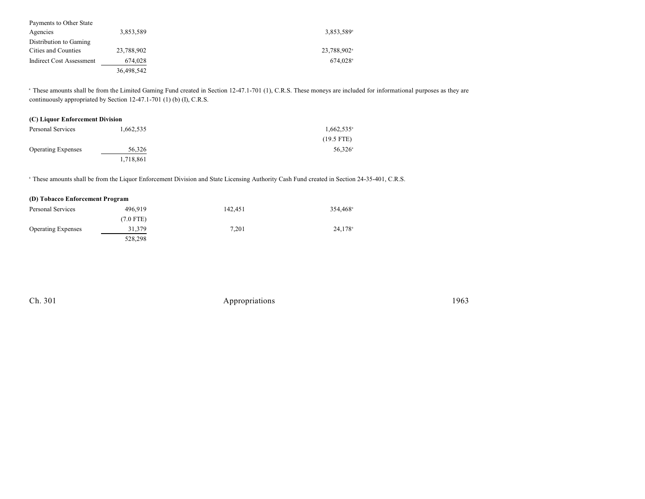| Payments to Other State  |            |                         |
|--------------------------|------------|-------------------------|
| Agencies                 | 3,853,589  | 3,853,589 <sup>a</sup>  |
| Distribution to Gaming   |            |                         |
| Cities and Counties      | 23,788,902 | 23,788,902 <sup>a</sup> |
| Indirect Cost Assessment | 674,028    | $674.028$ <sup>a</sup>  |
|                          | 36,498,542 |                         |

<sup>a</sup> These amounts shall be from the Limited Gaming Fund created in Section 12-47.1-701 (1), C.R.S. These moneys are included for informational purposes as they are continuously appropriated by Section 12-47.1-701 (1) (b) (I), C.R.S.

| (C) Liquor Enforcement Division |           |                  |  |  |
|---------------------------------|-----------|------------------|--|--|
| Personal Services               | 1.662.535 | $1.662.535^*$    |  |  |
|                                 |           | $(19.5$ FTE)     |  |  |
| <b>Operating Expenses</b>       | 56.326    | $56.326^{\circ}$ |  |  |
|                                 | 1,718,861 |                  |  |  |

<sup>a</sup> These amounts shall be from the Liquor Enforcement Division and State Licensing Authority Cash Fund created in Section 24-35-401, C.R.S.

| (D) Tobacco Enforcement Program |             |         |                      |  |  |
|---------------------------------|-------------|---------|----------------------|--|--|
| Personal Services               | 496.919     | 142.451 | 354.468 <sup>a</sup> |  |  |
|                                 | $(7.0$ FTE) |         |                      |  |  |
| <b>Operating Expenses</b>       | 31,379      | 7.201   | 24,178 <sup>a</sup>  |  |  |
|                                 | 528,298     |         |                      |  |  |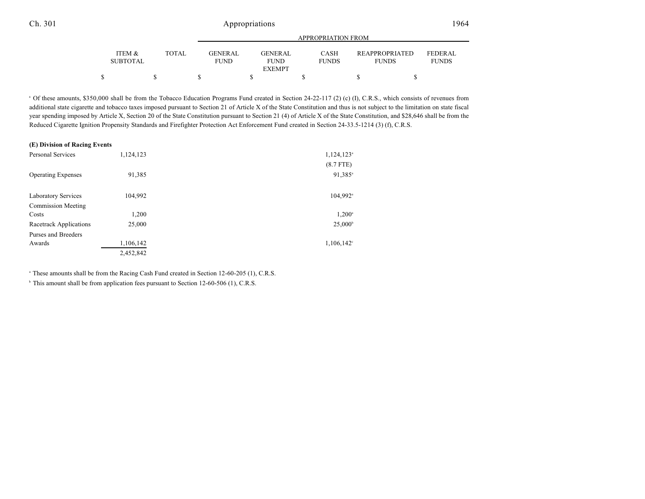| ITEM &<br><b>TOTAL</b><br>CASH<br><b>GENERAL</b><br>GENERAL                    |                                                                         |
|--------------------------------------------------------------------------------|-------------------------------------------------------------------------|
| <b>SUBTOTAL</b><br><b>FUNDS</b><br><b>FUND</b><br><b>FUND</b><br><b>EXEMPT</b> | <b>REAPPROPRIATED</b><br><b>FEDERAL</b><br><b>FUNDS</b><br><b>FUNDS</b> |
|                                                                                |                                                                         |

<sup>a</sup> Of these amounts, \$350,000 shall be from the Tobacco Education Programs Fund created in Section 24-22-117 (2) (c) (I), C.R.S., which consists of revenues from additional state cigarette and tobacco taxes imposed pursuant to Section 21 of Article X of the State Constitution and thus is not subject to the limitation on state fiscal year spending imposed by Article X, Section 20 of the State Constitution pursuant to Section 21 (4) of Article X of the State Constitution, and \$28,646 shall be from the Reduced Cigarette Ignition Propensity Standards and Firefighter Protection Act Enforcement Fund created in Section 24-33.5-1214 (3) (f), C.R.S.

#### **(E) Division of Racing Events**

| <b>Personal Services</b>   | 1,124,123 | $1,124,123$ <sup>a</sup> |
|----------------------------|-----------|--------------------------|
|                            |           | $(8.7$ FTE)              |
| <b>Operating Expenses</b>  | 91,385    | 91,385 <sup>a</sup>      |
|                            |           |                          |
| <b>Laboratory Services</b> | 104,992   | $104,992$ <sup>a</sup>   |
| <b>Commission Meeting</b>  |           |                          |
| Costs                      | 1,200     | $1,200^{\circ}$          |
| Racetrack Applications     | 25,000    | $25,000^{\circ}$         |
| Purses and Breeders        |           |                          |
| Awards                     | 1,106,142 | $1,106,142^{\circ}$      |
|                            | 2,452,842 |                          |

<sup>a</sup> These amounts shall be from the Racing Cash Fund created in Section 12-60-205 (1), C.R.S.

 $b$  This amount shall be from application fees pursuant to Section 12-60-506 (1), C.R.S.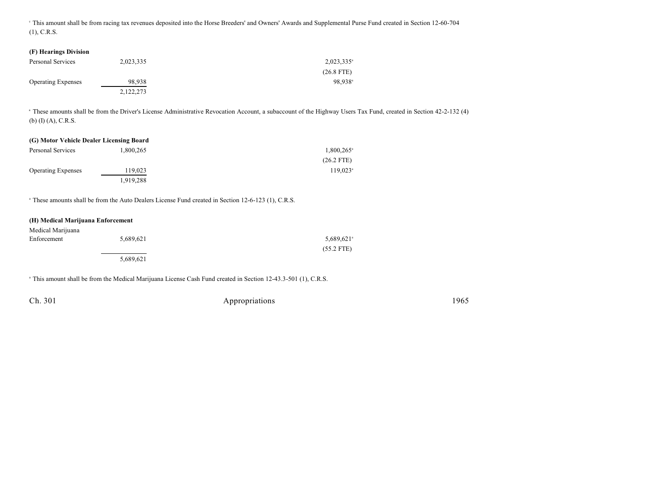This amount shall be from racing tax revenues deposited into the Horse Breeders' and Owners' Awards and Supplemental Purse Fund created in Section 12-60-704 (1), C.R.S.

## **(F) Hearings Division**

| Personal Services         | 2,023,335 | $2,023,335$ <sup>a</sup> |
|---------------------------|-----------|--------------------------|
|                           |           | $(26.8$ FTE)             |
| <b>Operating Expenses</b> | 98.938    | 98.938 <sup>a</sup>      |
|                           | 2,122,273 |                          |

<sup>a</sup> These amounts shall be from the Driver's License Administrative Revocation Account, a subaccount of the Highway Users Tax Fund, created in Section 42-2-132 (4) (b) (I) (A), C.R.S.

# **(G) Motor Vehicle Dealer Licensing Board**

| Personal Services         | 1.800.265 | $1,800,265$ <sup>a</sup> |
|---------------------------|-----------|--------------------------|
|                           |           | $(26.2$ FTE)             |
| <b>Operating Expenses</b> | 119,023   | $119.023$ <sup>a</sup>   |
|                           | 1,919,288 |                          |

<sup>a</sup> These amounts shall be from the Auto Dealers License Fund created in Section 12-6-123 (1), C.R.S.

## **(H) Medical Marijuana Enforcement**

| Medical Marijuana |           |                          |
|-------------------|-----------|--------------------------|
| Enforcement       | 5,689,621 | $5,689,621$ <sup>a</sup> |
|                   |           | $(55.2$ FTE)             |
|                   | 5,689,621 |                          |

<sup>a</sup> This amount shall be from the Medical Marijuana License Cash Fund created in Section 12-43.3-501 (1), C.R.S.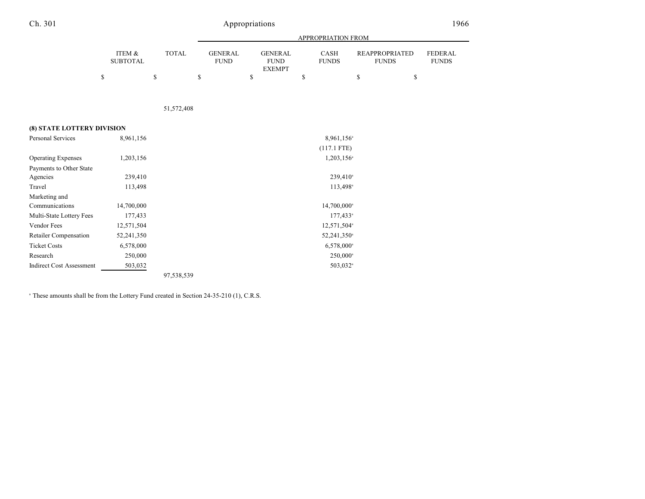| 1 | C |
|---|---|
|   |   |

# Appropriations 1966

|                                 |                                 |                    |                                     |                                                      | APPROPRIATION FROM                |                                                   |                                |
|---------------------------------|---------------------------------|--------------------|-------------------------------------|------------------------------------------------------|-----------------------------------|---------------------------------------------------|--------------------------------|
|                                 | ITEM &<br><b>SUBTOTAL</b><br>\$ | <b>TOTAL</b><br>\$ | \$<br><b>GENERAL</b><br><b>FUND</b> | \$<br><b>GENERAL</b><br><b>FUND</b><br><b>EXEMPT</b> | \$<br><b>CASH</b><br><b>FUNDS</b> | \$<br><b>REAPPROPRIATED</b><br><b>FUNDS</b><br>\$ | <b>FEDERAL</b><br><b>FUNDS</b> |
|                                 |                                 |                    |                                     |                                                      |                                   |                                                   |                                |
|                                 |                                 |                    |                                     |                                                      |                                   |                                                   |                                |
|                                 |                                 | 51,572,408         |                                     |                                                      |                                   |                                                   |                                |
|                                 |                                 |                    |                                     |                                                      |                                   |                                                   |                                |
| (8) STATE LOTTERY DIVISION      |                                 |                    |                                     |                                                      |                                   |                                                   |                                |
| <b>Personal Services</b>        | 8,961,156                       |                    |                                     |                                                      | 8,961,156 <sup>a</sup>            |                                                   |                                |
|                                 |                                 |                    |                                     |                                                      | $(117.1$ FTE)                     |                                                   |                                |
| <b>Operating Expenses</b>       | 1,203,156                       |                    |                                     |                                                      | $1,203,156$ <sup>a</sup>          |                                                   |                                |
| Payments to Other State         |                                 |                    |                                     |                                                      |                                   |                                                   |                                |
| Agencies                        | 239,410                         |                    |                                     |                                                      | $239,410^{\circ}$                 |                                                   |                                |
| Travel                          | 113,498                         |                    |                                     |                                                      | 113,498 <sup>a</sup>              |                                                   |                                |
| Marketing and                   |                                 |                    |                                     |                                                      |                                   |                                                   |                                |
| Communications                  | 14,700,000                      |                    |                                     |                                                      | $14,700,000^{\circ}$              |                                                   |                                |
| Multi-State Lottery Fees        | 177,433                         |                    |                                     |                                                      | $177,433^{\circ}$                 |                                                   |                                |
| Vendor Fees                     | 12,571,504                      |                    |                                     |                                                      | 12,571,504 <sup>a</sup>           |                                                   |                                |
| Retailer Compensation           | 52,241,350                      |                    |                                     |                                                      | 52,241,350 <sup>a</sup>           |                                                   |                                |
| <b>Ticket Costs</b>             | 6,578,000                       |                    |                                     |                                                      | $6,578,000^{\circ}$               |                                                   |                                |
| Research                        | 250,000                         |                    |                                     |                                                      | 250,000 <sup>a</sup>              |                                                   |                                |
| <b>Indirect Cost Assessment</b> | 503,032                         |                    |                                     |                                                      | 503,032 <sup>a</sup>              |                                                   |                                |
|                                 |                                 | 97,538,539         |                                     |                                                      |                                   |                                                   |                                |

 $^{\circ}$  These amounts shall be from the Lottery Fund created in Section 24-35-210 (1), C.R.S.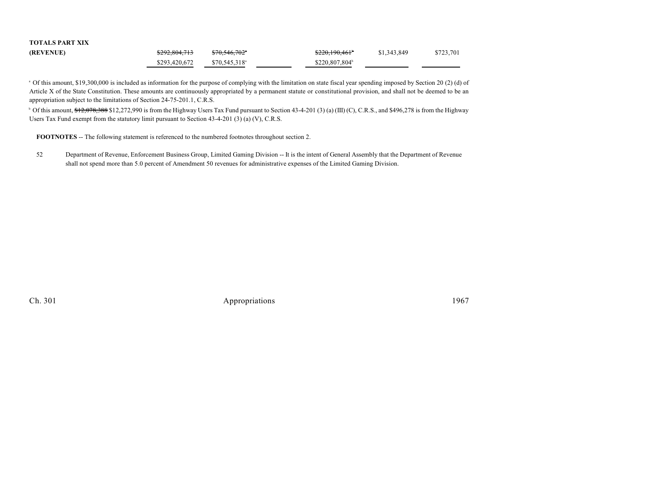| <b>TOTALS PART XIX</b> |               |                            |                            |             |           |
|------------------------|---------------|----------------------------|----------------------------|-------------|-----------|
| (REVENUE)              | \$292,804,713 | $$70,546,702$ <sup>*</sup> | \$220,190,461°             | \$1,343,849 | \$723,701 |
|                        | \$293,420,672 | $$70.545.318$ <sup>a</sup> | \$220,807,804 <sup>b</sup> |             |           |

<sup>a</sup> Of this amount, \$19,300,000 is included as information for the purpose of complying with the limitation on state fiscal year spending imposed by Section 20 (2) (d) of Article X of the State Constitution. These amounts are continuously appropriated by a permanent statute or constitutional provision, and shall not be deemed to be an appropriation subject to the limitations of Section 24-75-201.1, C.R.S.

<sup>b</sup> Of this amount,  $\frac{12,078,388 \text{ $12,272,990}}{1}$  is from the Highway Users Tax Fund pursuant to Section 43-4-201 (3) (a) (III) (C), C.R.S., and \$496,278 is from the Highway Users Tax Fund exempt from the statutory limit pursuant to Section 43-4-201 (3) (a) (V), C.R.S.

**FOOTNOTES** -- The following statement is referenced to the numbered footnotes throughout section 2.

52 Department of Revenue, Enforcement Business Group, Limited Gaming Division -- It is the intent of General Assembly that the Department of Revenue shall not spend more than 5.0 percent of Amendment 50 revenues for administrative expenses of the Limited Gaming Division.